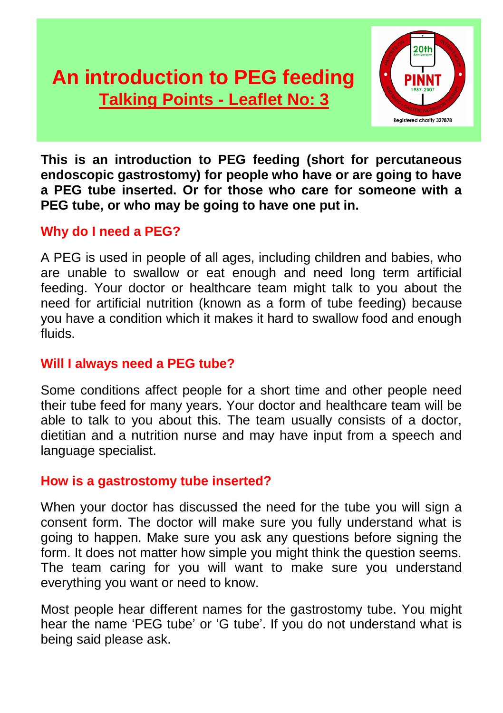# **An introduction to PEG feeding Talking Points - Leaflet No: 2 Talking Points - Leaflet No: 3**



**This is an introduction to PEG feeding (short for percutaneous endoscopic gastrostomy) for people who have or are going to have a PEG tube inserted. Or for those who care for someone with a PEG tube, or who may be going to have one put in.**

## **Why do I need a PEG?**

A PEG is used in people of all ages, including children and babies, who are unable to swallow or eat enough and need long term artificial feeding. Your doctor or healthcare team might talk to you about the need for artificial nutrition (known as a form of tube feeding) because you have a condition which it makes it hard to swallow food and enough fluids.

# **Will I always need a PEG tube?**

Some conditions affect people for a short time and other people need their tube feed for many years. Your doctor and healthcare team will be able to talk to you about this. The team usually consists of a doctor, dietitian and a nutrition nurse and may have input from a speech and language specialist.

## **How is a gastrostomy tube inserted?**

When your doctor has discussed the need for the tube you will sign a consent form. The doctor will make sure you fully understand what is going to happen. Make sure you ask any questions before signing the form. It does not matter how simple you might think the question seems. The team caring for you will want to make sure you understand everything you want or need to know.

Most people hear different names for the gastrostomy tube. You might hear the name 'PEG tube' or 'G tube'. If you do not understand what is being said please ask.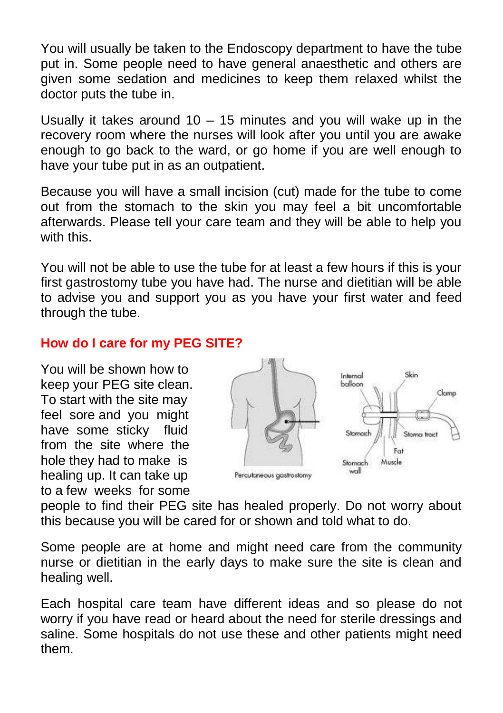You will usually be taken to the Endoscopy department to have the tube put in. Some people need to have general anaesthetic and others are given some sedation and medicines to keep them relaxed whilst the doctor puts the tube in.

Usually it takes around 10 – 15 minutes and you will wake up in the recovery room where the nurses will look after you until you are awake enough to go back to the ward, or go home if you are well enough to have your tube put in as an outpatient.

Because you will have a small incision (cut) made for the tube to come out from the stomach to the skin you may feel a bit uncomfortable afterwards. Please tell your care team and they will be able to help you with this.

You will not be able to use the tube for at least a few hours if this is your first gastrostomy tube you have had. The nurse and dietitian will be able to advise you and support you as you have your first water and feed through the tube.

# **How do I care for my PEG SITE?**

You will be shown how to keep your PEG site clean. To start with the site may feel sore and you might have some sticky fluid from the site where the hole they had to make is healing up. It can take up to a few weeks for some



people to find their PEG site has healed properly. Do not worry about this because you will be cared for or shown and told what to do.

Some people are at home and might need care from the community nurse or dietitian in the early days to make sure the site is clean and healing well.

Each hospital care team have different ideas and so please do not worry if you have read or heard about the need for sterile dressings and saline. Some hospitals do not use these and other patients might need them.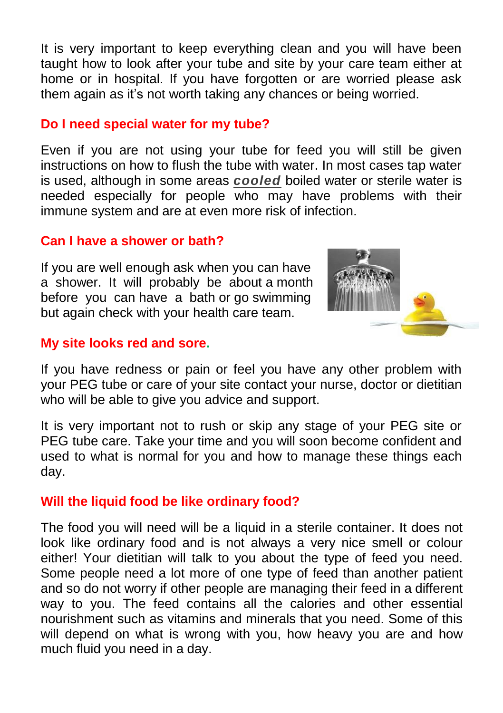It is very important to keep everything clean and you will have been taught how to look after your tube and site by your care team either at home or in hospital. If you have forgotten or are worried please ask them again as it's not worth taking any chances or being worried.

### **Do I need special water for my tube?**

Even if you are not using your tube for feed you will still be given instructions on how to flush the tube with water. In most cases tap water is used, although in some areas *cooled* boiled water or sterile water is needed especially for people who may have problems with their immune system and are at even more risk of infection.

### **Can I have a shower or bath?**

If you are well enough ask when you can have a shower. It will probably be about a month before you can have a bath or go swimming but again check with your health care team.



#### **My site looks red and sore.**

If you have redness or pain or feel you have any other problem with your PEG tube or care of your site contact your nurse, doctor or dietitian who will be able to give you advice and support.

It is very important not to rush or skip any stage of your PEG site or PEG tube care. Take your time and you will soon become confident and used to what is normal for you and how to manage these things each day.

## **Will the liquid food be like ordinary food?**

The food you will need will be a liquid in a sterile container. It does not look like ordinary food and is not always a very nice smell or colour either! Your dietitian will talk to you about the type of feed you need. Some people need a lot more of one type of feed than another patient and so do not worry if other people are managing their feed in a different way to you. The feed contains all the calories and other essential nourishment such as vitamins and minerals that you need. Some of this will depend on what is wrong with you, how heavy you are and how much fluid you need in a day.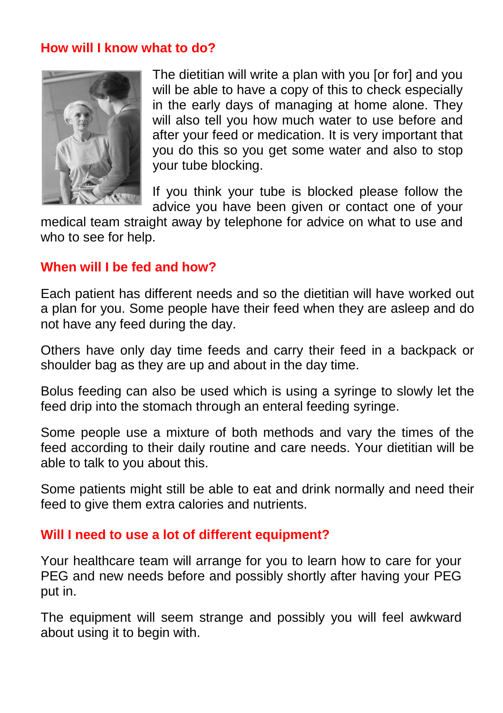### **How will I know what to do?**



 The dietitian will write a plan with you [or for] and you will be able to have a copy of this to check especially in the early days of managing at home alone. They will also tell you how much water to use before and after your feed or medication. It is very important that you do this so you get some water and also to stop your tube blocking.

 If you think your tube is blocked please follow the advice you have been given or contact one of your

medical team straight away by telephone for advice on what to use and who to see for help.

### **When will I be fed and how?**

Each patient has different needs and so the dietitian will have worked out a plan for you. Some people have their feed when they are asleep and do not have any feed during the day.

Others have only day time feeds and carry their feed in a backpack or shoulder bag as they are up and about in the day time.

Bolus feeding can also be used which is using a syringe to slowly let the feed drip into the stomach through an enteral feeding syringe.

Some people use a mixture of both methods and vary the times of the feed according to their daily routine and care needs. Your dietitian will be able to talk to you about this.

Some patients might still be able to eat and drink normally and need their feed to give them extra calories and nutrients.

## **Will I need to use a lot of different equipment?**

Your healthcare team will arrange for you to learn how to care for your PEG and new needs before and possibly shortly after having your PEG put in.

The equipment will seem strange and possibly you will feel awkward about using it to begin with.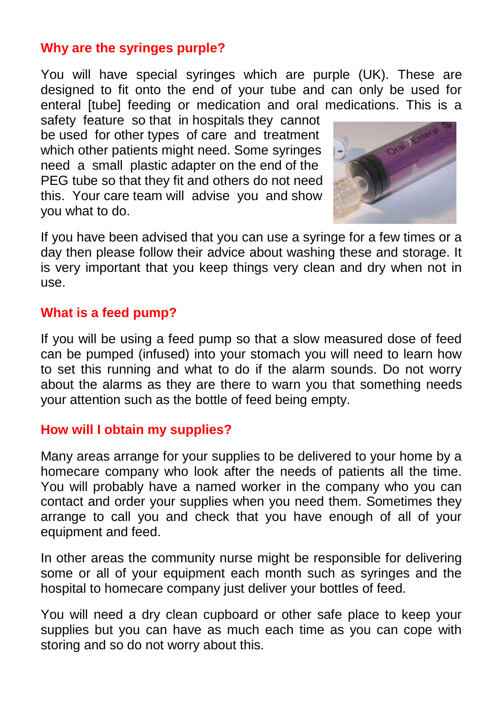# **Why are the syringes purple?**

You will have special syringes which are purple (UK). These are designed to fit onto the end of your tube and can only be used for enteral [tube] feeding or medication and oral medications. This is a

safety feature so that in hospitals they cannot be used for other types of care and treatment which other patients might need. Some syringes need a small plastic adapter on the end of the PEG tube so that they fit and others do not need this. Your care team will advise you and show you what to do.



If you have been advised that you can use a syringe for a few times or a day then please follow their advice about washing these and storage. It is very important that you keep things very clean and dry when not in use.

# **What is a feed pump?**

If you will be using a feed pump so that a slow measured dose of feed can be pumped (infused) into your stomach you will need to learn how to set this running and what to do if the alarm sounds. Do not worry about the alarms as they are there to warn you that something needs your attention such as the bottle of feed being empty.

## **How will I obtain my supplies?**

Many areas arrange for your supplies to be delivered to your home by a homecare company who look after the needs of patients all the time. You will probably have a named worker in the company who you can contact and order your supplies when you need them. Sometimes they arrange to call you and check that you have enough of all of your equipment and feed.

In other areas the community nurse might be responsible for delivering some or all of your equipment each month such as syringes and the hospital to homecare company just deliver your bottles of feed.

You will need a dry clean cupboard or other safe place to keep your supplies but you can have as much each time as you can cope with storing and so do not worry about this.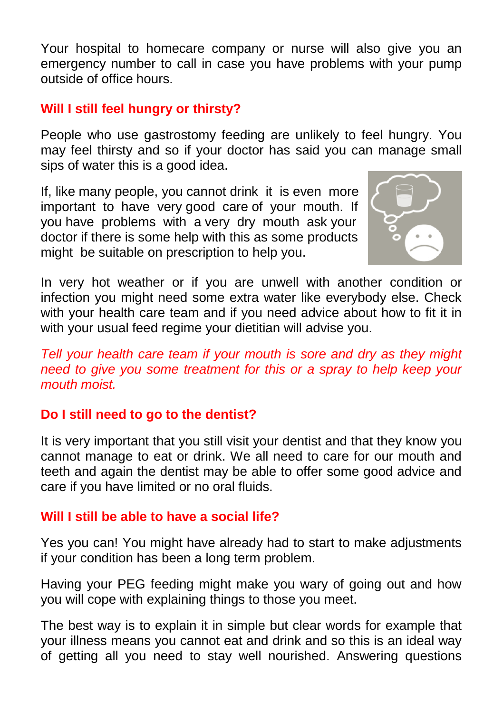Your hospital to homecare company or nurse will also give you an emergency number to call in case you have problems with your pump outside of office hours.

# **Will I still feel hungry or thirsty?**

People who use gastrostomy feeding are unlikely to feel hungry. You may feel thirsty and so if your doctor has said you can manage small sips of water this is a good idea.

If, like many people, you cannot drink it is even more important to have very good care of your mouth. If you have problems with a very dry mouth ask your doctor if there is some help with this as some products might be suitable on prescription to help you.



In very hot weather or if you are unwell with another condition or infection you might need some extra water like everybody else. Check with your health care team and if you need advice about how to fit it in with your usual feed regime your dietitian will advise you.

*Tell your health care team if your mouth is sore and dry as they might need to give you some treatment for this or a spray to help keep your mouth moist.* 

# **Do I still need to go to the dentist?**

It is very important that you still visit your dentist and that they know you cannot manage to eat or drink. We all need to care for our mouth and teeth and again the dentist may be able to offer some good advice and care if you have limited or no oral fluids.

## **Will I still be able to have a social life?**

Yes you can! You might have already had to start to make adjustments if your condition has been a long term problem.

Having your PEG feeding might make you wary of going out and how you will cope with explaining things to those you meet.

The best way is to explain it in simple but clear words for example that your illness means you cannot eat and drink and so this is an ideal way of getting all you need to stay well nourished. Answering questions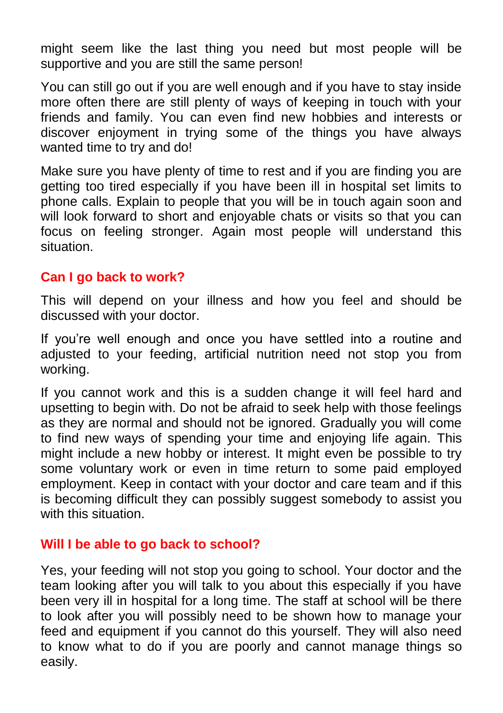might seem like the last thing you need but most people will be supportive and you are still the same person!

You can still go out if you are well enough and if you have to stay inside more often there are still plenty of ways of keeping in touch with your friends and family. You can even find new hobbies and interests or discover enjoyment in trying some of the things you have always wanted time to try and do!

Make sure you have plenty of time to rest and if you are finding you are getting too tired especially if you have been ill in hospital set limits to phone calls. Explain to people that you will be in touch again soon and will look forward to short and enjoyable chats or visits so that you can focus on feeling stronger. Again most people will understand this situation.

### **Can I go back to work?**

This will depend on your illness and how you feel and should be discussed with your doctor.

If you're well enough and once you have settled into a routine and adjusted to your feeding, artificial nutrition need not stop you from working.

If you cannot work and this is a sudden change it will feel hard and upsetting to begin with. Do not be afraid to seek help with those feelings as they are normal and should not be ignored. Gradually you will come to find new ways of spending your time and enjoying life again. This might include a new hobby or interest. It might even be possible to try some voluntary work or even in time return to some paid employed employment. Keep in contact with your doctor and care team and if this is becoming difficult they can possibly suggest somebody to assist you with this situation

#### **Will I be able to go back to school?**

Yes, your feeding will not stop you going to school. Your doctor and the team looking after you will talk to you about this especially if you have been very ill in hospital for a long time. The staff at school will be there to look after you will possibly need to be shown how to manage your feed and equipment if you cannot do this yourself. They will also need to know what to do if you are poorly and cannot manage things so easily.